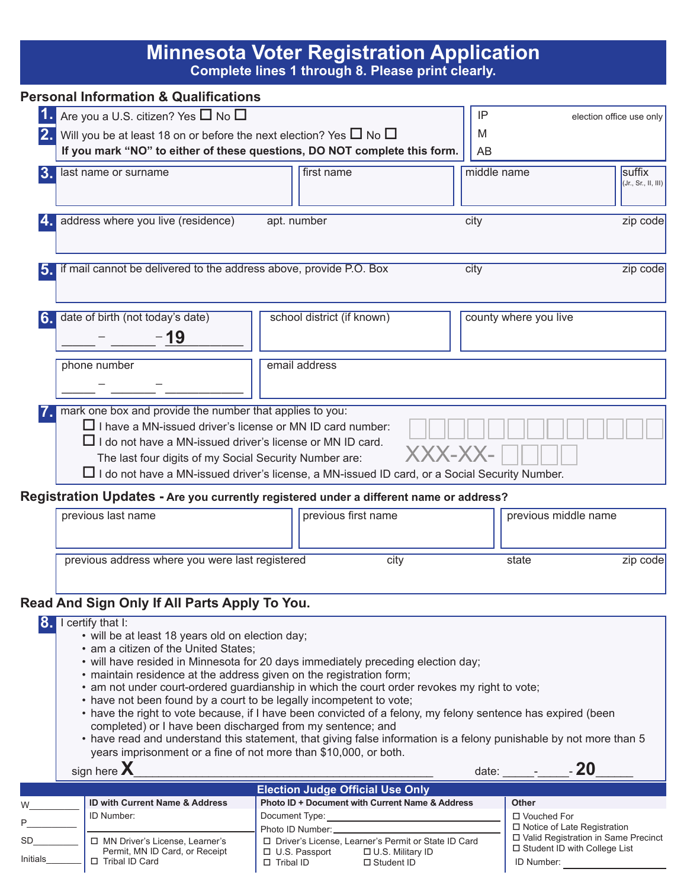## **Minnesota Voter Registration Application Complete lines 1 through 8. Please print clearly.**

|                                               |                                                                                                                                                                                                                                                                                                                                                                                                                                                                                                                                                                                                                                                                                                                                                                                                                         | <b>Personal Information &amp; Qualifications</b>                             |                  |                                                                                        |                      |                                                                         |                          |  |
|-----------------------------------------------|-------------------------------------------------------------------------------------------------------------------------------------------------------------------------------------------------------------------------------------------------------------------------------------------------------------------------------------------------------------------------------------------------------------------------------------------------------------------------------------------------------------------------------------------------------------------------------------------------------------------------------------------------------------------------------------------------------------------------------------------------------------------------------------------------------------------------|------------------------------------------------------------------------------|------------------|----------------------------------------------------------------------------------------|----------------------|-------------------------------------------------------------------------|--------------------------|--|
| l1.l                                          |                                                                                                                                                                                                                                                                                                                                                                                                                                                                                                                                                                                                                                                                                                                                                                                                                         | Are you a U.S. citizen? Yes □ No □                                           |                  |                                                                                        | IP                   |                                                                         | election office use only |  |
| 2.                                            |                                                                                                                                                                                                                                                                                                                                                                                                                                                                                                                                                                                                                                                                                                                                                                                                                         | Will you be at least 18 on or before the next election? Yes $\Box$ No $\Box$ | M                |                                                                                        |                      |                                                                         |                          |  |
|                                               |                                                                                                                                                                                                                                                                                                                                                                                                                                                                                                                                                                                                                                                                                                                                                                                                                         | If you mark "NO" to either of these questions, DO NOT complete this form.    |                  |                                                                                        |                      |                                                                         |                          |  |
| 3                                             | last name or surname                                                                                                                                                                                                                                                                                                                                                                                                                                                                                                                                                                                                                                                                                                                                                                                                    |                                                                              |                  | first name                                                                             | middle name          |                                                                         | suffix                   |  |
|                                               |                                                                                                                                                                                                                                                                                                                                                                                                                                                                                                                                                                                                                                                                                                                                                                                                                         |                                                                              |                  |                                                                                        |                      |                                                                         | (Jr., Sr., II, III)      |  |
|                                               |                                                                                                                                                                                                                                                                                                                                                                                                                                                                                                                                                                                                                                                                                                                                                                                                                         |                                                                              |                  |                                                                                        |                      |                                                                         |                          |  |
|                                               |                                                                                                                                                                                                                                                                                                                                                                                                                                                                                                                                                                                                                                                                                                                                                                                                                         | address where you live (residence)                                           |                  | apt. number                                                                            | city                 |                                                                         | zip code                 |  |
| $\overline{\mathbf{5}}$                       |                                                                                                                                                                                                                                                                                                                                                                                                                                                                                                                                                                                                                                                                                                                                                                                                                         | if mail cannot be delivered to the address above, provide P.O. Box           |                  |                                                                                        | city                 |                                                                         | zip code                 |  |
| 6                                             |                                                                                                                                                                                                                                                                                                                                                                                                                                                                                                                                                                                                                                                                                                                                                                                                                         | date of birth (not today's date)<br>- 19                                     |                  | school district (if known)                                                             |                      | county where you live                                                   |                          |  |
|                                               | email address                                                                                                                                                                                                                                                                                                                                                                                                                                                                                                                                                                                                                                                                                                                                                                                                           |                                                                              |                  |                                                                                        |                      |                                                                         |                          |  |
|                                               | phone number                                                                                                                                                                                                                                                                                                                                                                                                                                                                                                                                                                                                                                                                                                                                                                                                            |                                                                              |                  |                                                                                        |                      |                                                                         |                          |  |
|                                               | mark one box and provide the number that applies to you:<br>$\Box$ I have a MN-issued driver's license or MN ID card number:<br>$\Box$ I do not have a MN-issued driver's license or MN ID card.<br>XXX-XX-<br>The last four digits of my Social Security Number are:<br>$\Box$ I do not have a MN-issued driver's license, a MN-issued ID card, or a Social Security Number.                                                                                                                                                                                                                                                                                                                                                                                                                                           |                                                                              |                  |                                                                                        |                      |                                                                         |                          |  |
|                                               |                                                                                                                                                                                                                                                                                                                                                                                                                                                                                                                                                                                                                                                                                                                                                                                                                         |                                                                              |                  | Registration Updates - Are you currently registered under a different name or address? |                      |                                                                         |                          |  |
|                                               | previous last name                                                                                                                                                                                                                                                                                                                                                                                                                                                                                                                                                                                                                                                                                                                                                                                                      |                                                                              |                  | previous first name                                                                    | previous middle name |                                                                         |                          |  |
|                                               |                                                                                                                                                                                                                                                                                                                                                                                                                                                                                                                                                                                                                                                                                                                                                                                                                         |                                                                              |                  |                                                                                        |                      |                                                                         |                          |  |
|                                               |                                                                                                                                                                                                                                                                                                                                                                                                                                                                                                                                                                                                                                                                                                                                                                                                                         | previous address where you were last registered                              |                  | city                                                                                   |                      | state                                                                   | zip code                 |  |
| Read And Sign Only If All Parts Apply To You. |                                                                                                                                                                                                                                                                                                                                                                                                                                                                                                                                                                                                                                                                                                                                                                                                                         |                                                                              |                  |                                                                                        |                      |                                                                         |                          |  |
|                                               | I certify that I:<br>• will be at least 18 years old on election day;<br>• am a citizen of the United States;<br>• will have resided in Minnesota for 20 days immediately preceding election day;<br>• maintain residence at the address given on the registration form;<br>• am not under court-ordered guardianship in which the court order revokes my right to vote;<br>• have not been found by a court to be legally incompetent to vote;<br>• have the right to vote because, if I have been convicted of a felony, my felony sentence has expired (been<br>completed) or I have been discharged from my sentence; and<br>• have read and understand this statement, that giving false information is a felony punishable by not more than 5<br>years imprisonment or a fine of not more than \$10,000, or both. |                                                                              |                  |                                                                                        |                      |                                                                         |                          |  |
|                                               | sign here $X$                                                                                                                                                                                                                                                                                                                                                                                                                                                                                                                                                                                                                                                                                                                                                                                                           |                                                                              |                  |                                                                                        |                      | $-20$<br>date: -                                                        |                          |  |
|                                               |                                                                                                                                                                                                                                                                                                                                                                                                                                                                                                                                                                                                                                                                                                                                                                                                                         |                                                                              |                  | <b>Election Judge Official Use Only</b>                                                |                      |                                                                         |                          |  |
| W_                                            | ID Number:                                                                                                                                                                                                                                                                                                                                                                                                                                                                                                                                                                                                                                                                                                                                                                                                              | <b>ID with Current Name &amp; Address</b>                                    |                  | Photo ID + Document with Current Name & Address<br>Document Type:                      |                      | <b>Other</b><br>□ Vouched For                                           |                          |  |
| Ρ                                             |                                                                                                                                                                                                                                                                                                                                                                                                                                                                                                                                                                                                                                                                                                                                                                                                                         |                                                                              |                  | Photo ID Number:                                                                       |                      | $\Box$ Notice of Late Registration                                      |                          |  |
| SD                                            |                                                                                                                                                                                                                                                                                                                                                                                                                                                                                                                                                                                                                                                                                                                                                                                                                         | □ MN Driver's License, Learner's                                             |                  | □ Driver's License, Learner's Permit or State ID Card                                  |                      | □ Valid Registration in Same Precinct<br>□ Student ID with College List |                          |  |
| Initials                                      |                                                                                                                                                                                                                                                                                                                                                                                                                                                                                                                                                                                                                                                                                                                                                                                                                         | Permit, MN ID Card, or Receipt<br>□ Tribal ID Card                           | $\Box$ Tribal ID | □ U.S. Passport<br>$\Box$ U.S. Military ID<br>□ Student ID                             |                      | ID Number:                                                              |                          |  |